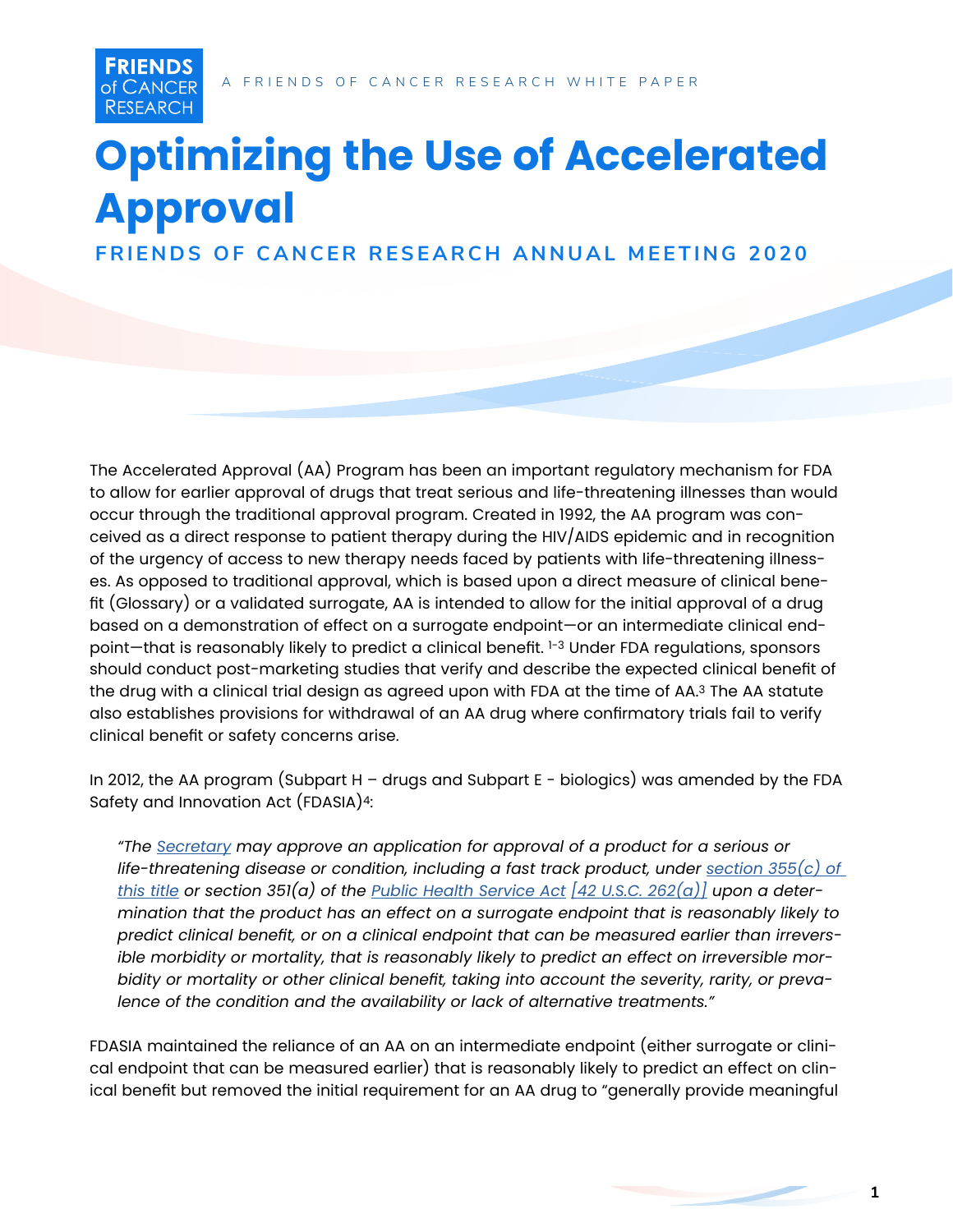**FRIENDS** of CANCER **RESEARCH** 

# **Optimizing the Use of Accelerated Approval**

**FRIENDS OF CANCER RESEARCH ANNUAL MEETING 2020**

The Accelerated Approval (AA) Program has been an important regulatory mechanism for FDA to allow for earlier approval of drugs that treat serious and life-threatening illnesses than would occur through the traditional approval program. Created in 1992, the AA program was conceived as a direct response to patient therapy during the HIV/AIDS epidemic and in recognition of the urgency of access to new therapy needs faced by patients with life-threatening illnesses. As opposed to traditional approval, which is based upon a direct measure of clinical benefit (Glossary) or a validated surrogate, AA is intended to allow for the initial approval of a drug based on a demonstration of effect on a surrogate endpoint—or an intermediate clinical endpoint-that is reasonably likely to predict a clinical benefit. 1-3 Under FDA regulations, sponsors should conduct post-marketing studies that verify and describe the expected clinical benefit of the drug with a clinical trial design as agreed upon with FDA at the time of AA.3 The AA statute also establishes provisions for withdrawal of an AA drug where confirmatory trials fail to verify clinical benefit or safety concerns arise.

In 2012, the AA program (Subpart H – drugs and Subpart E - biologics) was amended by the FDA Safety and Innovation Act (FDASIA)4:

*"The [Secretary](https://www.law.cornell.edu/definitions/uscode.php?width=840&height=800&iframe=true&def_id=21-USC-1264422296-751111581&term_occur=999&term_src=) may approve an application for approval of a product for a serious or*  life-threatening disease or condition, including a fast track product, under <u>section 355(c) of</u> *[this title](https://www.law.cornell.edu/uscode/text/21/355#c) or section 351(a) of the [Public Health Service Act](https://www.law.cornell.edu/topn/public_health_service_act) [\[42 U.S.C. 262\(a\)\]](https://www.law.cornell.edu/uscode/text/42/262#a) upon a determination that the product has an effect on a surrogate endpoint that is reasonably likely to predict clinical benefit, or on a clinical endpoint that can be measured earlier than irreversible morbidity or mortality, that is reasonably likely to predict an effect on irreversible morbidity or mortality or other clinical benefit, taking into account the severity, rarity, or prevalence of the condition and the availability or lack of alternative treatments."* 

FDASIA maintained the reliance of an AA on an intermediate endpoint (either surrogate or clinical endpoint that can be measured earlier) that is reasonably likely to predict an effect on clinical benefit but removed the initial requirement for an AA drug to "generally provide meaningful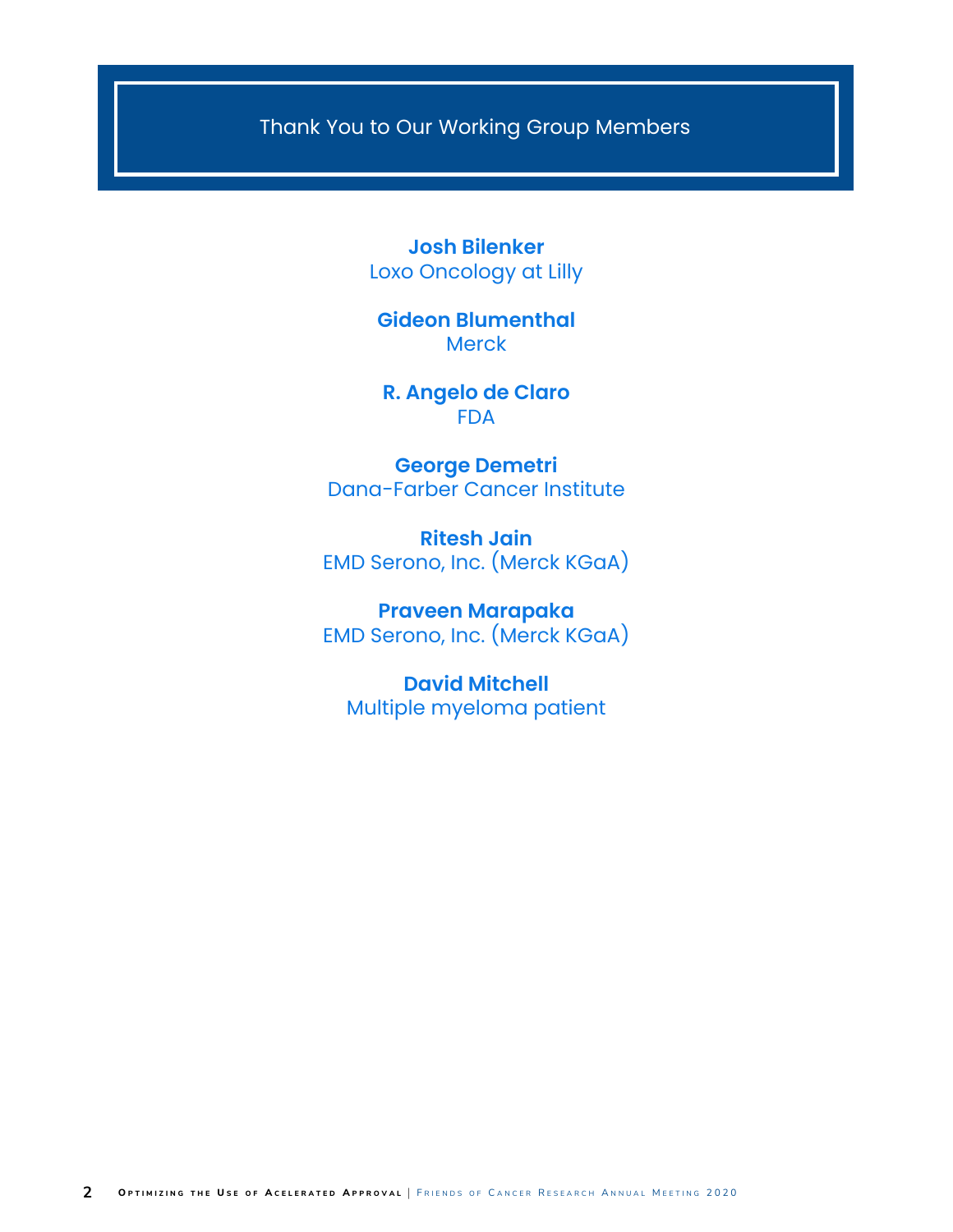Thank You to Our Working Group Members

**Josh Bilenker** Loxo Oncology at Lilly

**Gideon Blumenthal Merck** 

**R. Angelo de Claro** FDA

**George Demetri** Dana-Farber Cancer Institute

**Ritesh Jain** EMD Serono, Inc. (Merck KGaA)

**Praveen Marapaka** EMD Serono, Inc. (Merck KGaA)

**David Mitchell** Multiple myeloma patient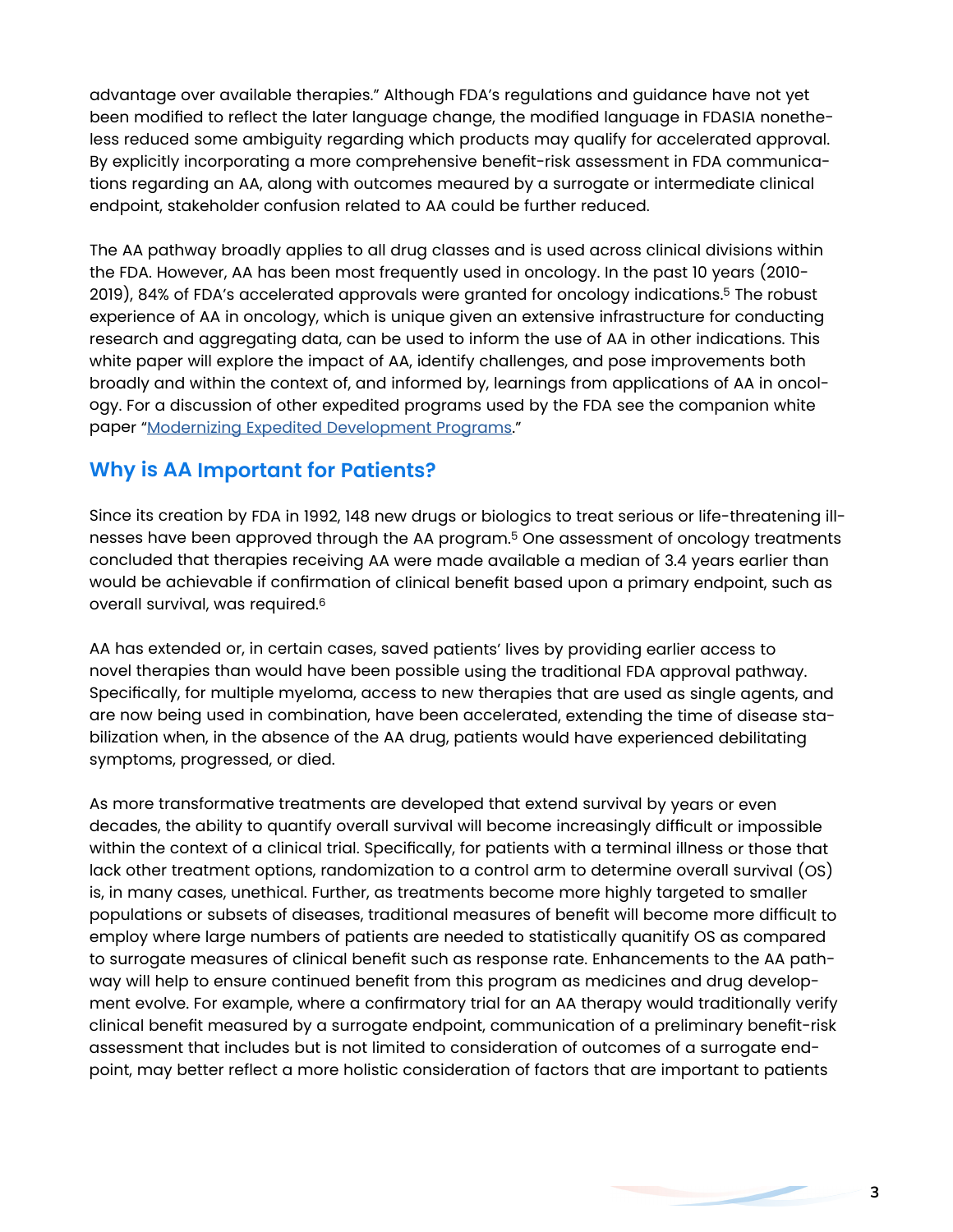advantage over available therapies." Although FDA's regulations and guidance have not yet been modified to reflect the later language change, the modified language in FDASIA nonetheless reduced some ambiguity regarding which products may qualify for accelerated approval. By explicitly incorporating a more comprehensive benefit-risk assessment in FDA communications regarding an AA, along with outcomes meaured by a surrogate or intermediate clinical endpoint, stakeholder confusion related to AA could be further reduced.

The AA pathway broadly applies to all drug classes and is used across clinical divisions within the FDA. However, AA has been most frequently used in oncology. In the past 10 years (2010- 2019), 84% of FDA's accelerated approvals were granted for oncology indications.5 The robust experience of AA in oncology, which is unique given an extensive infrastructure for conducting research and aggregating data, can be used to inform the use of AA in other indications. This white paper will explore the impact of AA, identify challenges, and pose improvements both broadly and within the context of, and informed by, learnings from applications of AA in oncology. For a discussion of other expedited programs used by the FDA see the companion white paper "[Modernizing Expedited Development Programs](https://friendsofcancerresearch.org/sites/default/files/2020-11/Modernizing_Expedited_Development_Programs-2020.pdf)."

# **Why is AA Important for Patients?**

Since its creation by FDA in 1992, 148 new drugs or biologics to treat serious or life-threatening illnesses have been approved through the AA program.5 One assessment of oncology treatments concluded that therapies receiving AA were made available a median of 3.4 years earlier than would be achievable if confirmation of clinical benefit based upon a primary endpoint, such as overall survival, was required.6

AA has extended or, in certain cases, saved patients' lives by providing earlier access to novel therapies than would have been possible using the traditional FDA approval pathway. Specifically, for multiple myeloma, access to new therapies that are used as single agents, and are now being used in combination, have been accelerated, extending the time of disease stabilization when, in the absence of the AA drug, patients would have experienced debilitating symptoms, progressed, or died.

As more transformative treatments are developed that extend survival by years or even decades, the ability to quantify overall survival will become increasingly difficult or impossible within the context of a clinical trial. Specifically, for patients with a terminal illness or those that lack other treatment options, randomization to a control arm to determine overall survival (OS) is, in many cases, unethical. Further, as treatments become more highly targeted to smaller populations or subsets of diseases, traditional measures of benefit will become more difficult to employ where large numbers of patients are needed to statistically quanitify OS as compared to surrogate measures of clinical benefit such as response rate. Enhancements to the AA pathway will help to ensure continued benefit from this program as medicines and drug development evolve. For example, where a confirmatory trial for an AA therapy would traditionally verify clinical benefit measured by a surrogate endpoint, communication of a preliminary benefit-risk assessment that includes but is not limited to consideration of outcomes of a surrogate endpoint, may better reflect a more holistic consideration of factors that are important to patients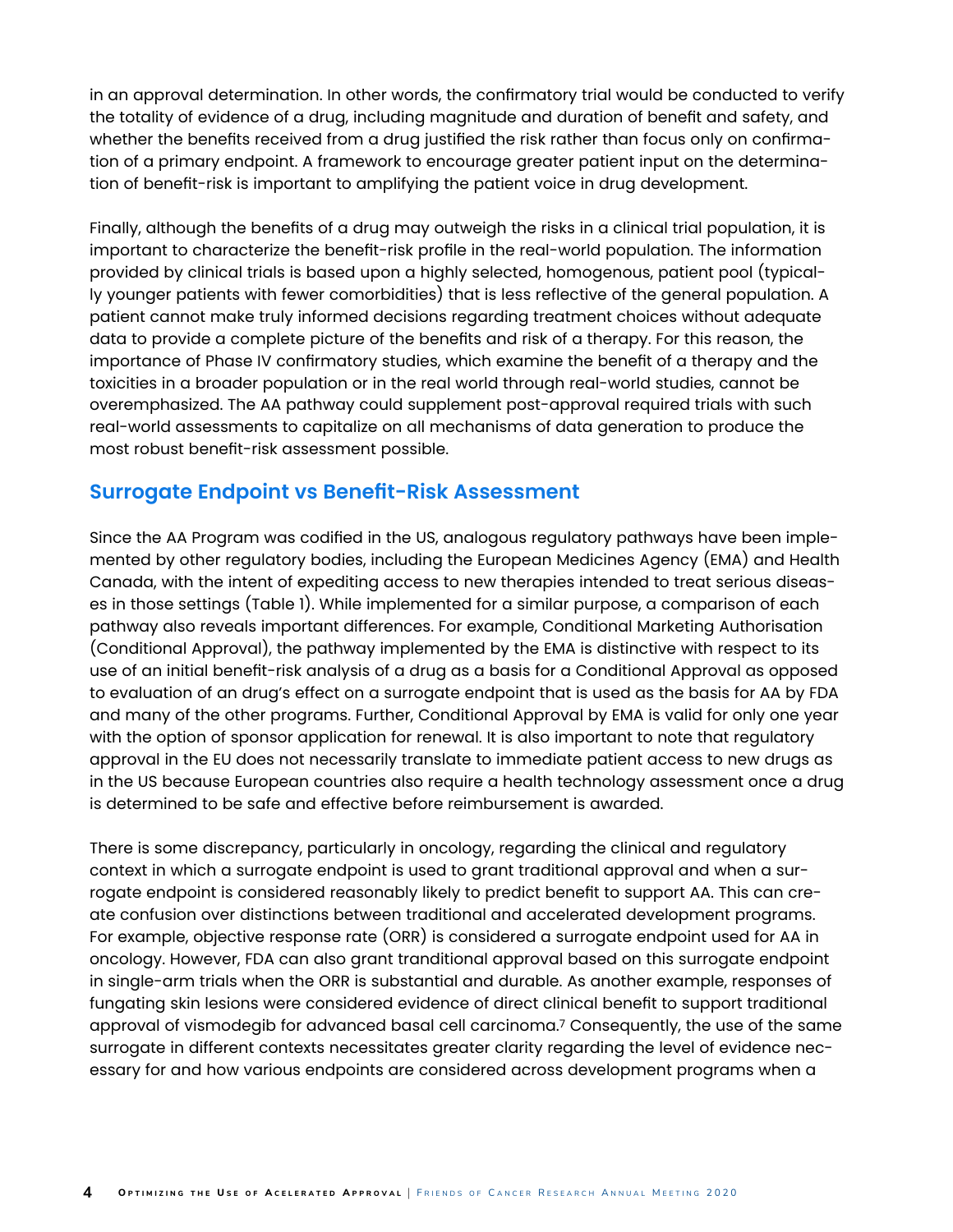in an approval determination. In other words, the confirmatory trial would be conducted to verify the totality of evidence of a drug, including magnitude and duration of benefit and safety, and whether the benefits received from a drug justified the risk rather than focus only on confirmation of a primary endpoint. A framework to encourage greater patient input on the determination of benefit-risk is important to amplifying the patient voice in drug development.

Finally, although the benefits of a drug may outweigh the risks in a clinical trial population, it is important to characterize the benefit-risk profile in the real-world population. The information provided by clinical trials is based upon a highly selected, homogenous, patient pool (typically younger patients with fewer comorbidities) that is less reflective of the general population. A patient cannot make truly informed decisions regarding treatment choices without adequate data to provide a complete picture of the benefits and risk of a therapy. For this reason, the importance of Phase IV confirmatory studies, which examine the benefit of a therapy and the toxicities in a broader population or in the real world through real-world studies, cannot be overemphasized. The AA pathway could supplement post-approval required trials with such real-world assessments to capitalize on all mechanisms of data generation to produce the most robust benefit-risk assessment possible.

### **Surrogate Endpoint vs Benefit-Risk Assessment**

Since the AA Program was codified in the US, analogous regulatory pathways have been implemented by other regulatory bodies, including the European Medicines Agency (EMA) and Health Canada, with the intent of expediting access to new therapies intended to treat serious diseases in those settings (Table 1). While implemented for a similar purpose, a comparison of each pathway also reveals important differences. For example, Conditional Marketing Authorisation (Conditional Approval), the pathway implemented by the EMA is distinctive with respect to its use of an initial benefit-risk analysis of a drug as a basis for a Conditional Approval as opposed to evaluation of an drug's effect on a surrogate endpoint that is used as the basis for AA by FDA and many of the other programs. Further, Conditional Approval by EMA is valid for only one year with the option of sponsor application for renewal. It is also important to note that regulatory approval in the EU does not necessarily translate to immediate patient access to new drugs as in the US because European countries also require a health technology assessment once a drug is determined to be safe and effective before reimbursement is awarded.

There is some discrepancy, particularly in oncology, regarding the clinical and regulatory context in which a surrogate endpoint is used to grant traditional approval and when a surrogate endpoint is considered reasonably likely to predict benefit to support AA. This can create confusion over distinctions between traditional and accelerated development programs. For example, objective response rate (ORR) is considered a surrogate endpoint used for AA in oncology. However, FDA can also grant tranditional approval based on this surrogate endpoint in single-arm trials when the ORR is substantial and durable. As another example, responses of fungating skin lesions were considered evidence of direct clinical benefit to support traditional approval of vismodegib for advanced basal cell carcinoma.7 Consequently, the use of the same surrogate in different contexts necessitates greater clarity regarding the level of evidence necessary for and how various endpoints are considered across development programs when a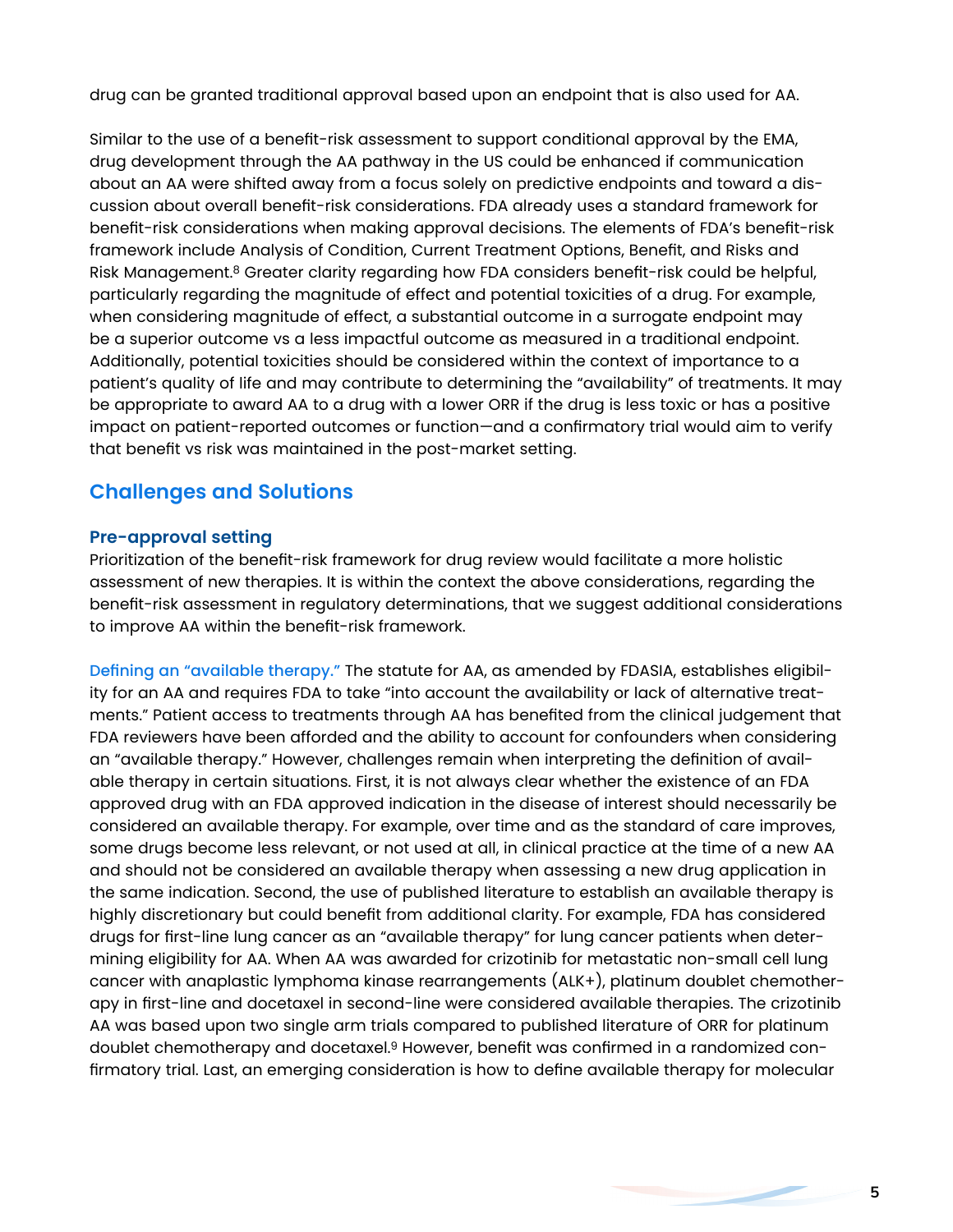drug can be granted traditional approval based upon an endpoint that is also used for AA.

Similar to the use of a benefit-risk assessment to support conditional approval by the EMA, drug development through the AA pathway in the US could be enhanced if communication about an AA were shifted away from a focus solely on predictive endpoints and toward a discussion about overall benefit-risk considerations. FDA already uses a standard framework for benefit-risk considerations when making approval decisions. The elements of FDA's benefit-risk framework include Analysis of Condition, Current Treatment Options, Benefit, and Risks and Risk Management.<sup>8</sup> Greater clarity regarding how FDA considers benefit-risk could be helpful, particularly regarding the magnitude of effect and potential toxicities of a drug. For example, when considering magnitude of effect, a substantial outcome in a surrogate endpoint may be a superior outcome vs a less impactful outcome as measured in a traditional endpoint. Additionally, potential toxicities should be considered within the context of importance to a patient's quality of life and may contribute to determining the "availability" of treatments. It may be appropriate to award AA to a drug with a lower ORR if the drug is less toxic or has a positive impact on patient-reported outcomes or function—and a confirmatory trial would aim to verify that benefit vs risk was maintained in the post-market setting.

# **Challenges and Solutions**

#### **Pre-approval setting**

Prioritization of the benefit-risk framework for drug review would facilitate a more holistic assessment of new therapies. It is within the context the above considerations, regarding the benefit-risk assessment in regulatory determinations, that we suggest additional considerations to improve AA within the benefit-risk framework.

Defining an "available therapy." The statute for AA, as amended by FDASIA, establishes eligibility for an AA and requires FDA to take "into account the availability or lack of alternative treatments." Patient access to treatments through AA has benefited from the clinical judgement that FDA reviewers have been afforded and the ability to account for confounders when considering an "available therapy." However, challenges remain when interpreting the definition of available therapy in certain situations. First, it is not always clear whether the existence of an FDA approved drug with an FDA approved indication in the disease of interest should necessarily be considered an available therapy. For example, over time and as the standard of care improves, some drugs become less relevant, or not used at all, in clinical practice at the time of a new AA and should not be considered an available therapy when assessing a new drug application in the same indication. Second, the use of published literature to establish an available therapy is highly discretionary but could benefit from additional clarity. For example, FDA has considered drugs for first-line lung cancer as an "available therapy" for lung cancer patients when determining eligibility for AA. When AA was awarded for crizotinib for metastatic non-small cell lung cancer with anaplastic lymphoma kinase rearrangements (ALK+), platinum doublet chemotherapy in first-line and docetaxel in second-line were considered available therapies. The crizotinib AA was based upon two single arm trials compared to published literature of ORR for platinum doublet chemotherapy and docetaxel.9 However, benefit was confirmed in a randomized confirmatory trial. Last, an emerging consideration is how to define available therapy for molecular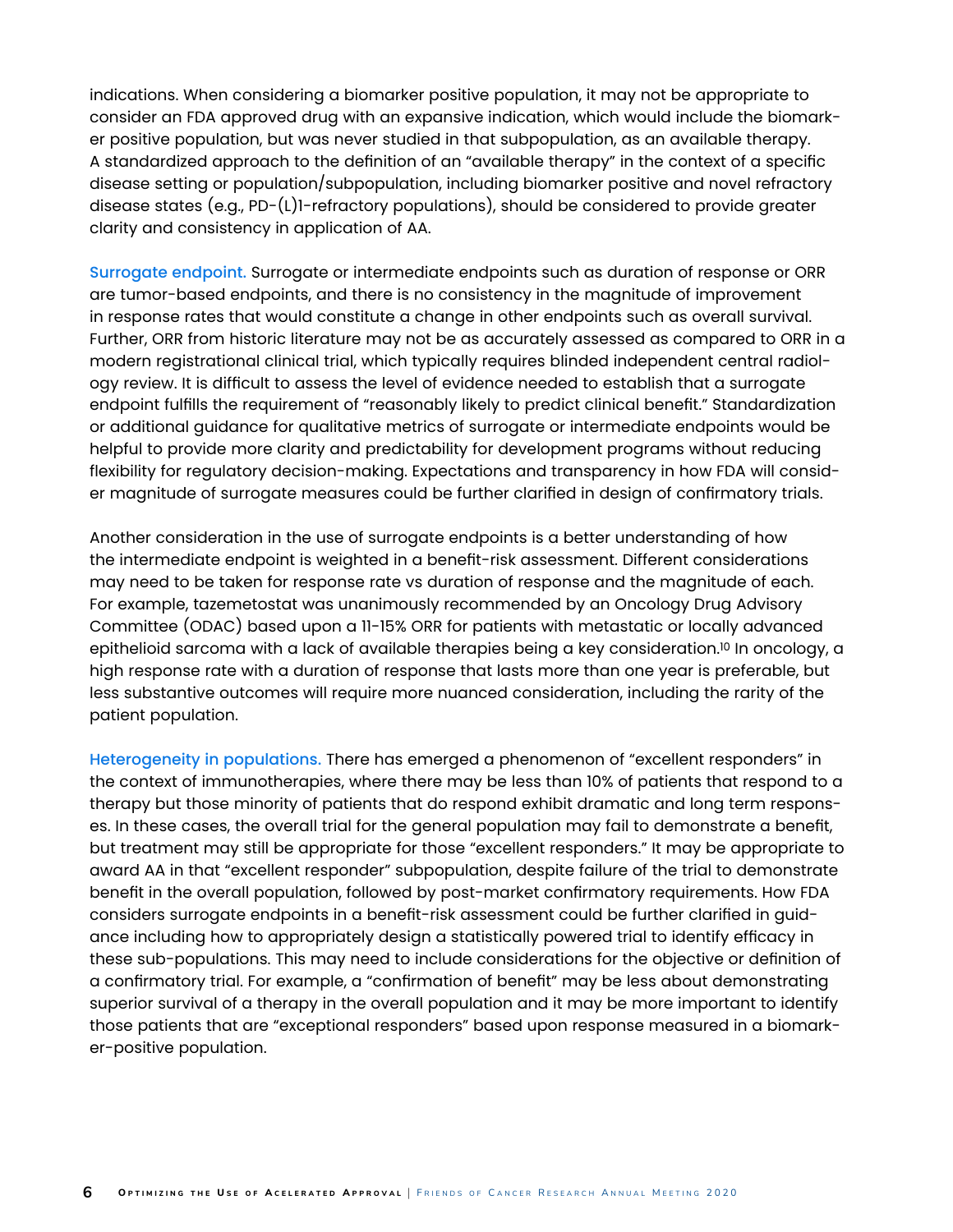indications. When considering a biomarker positive population, it may not be appropriate to consider an FDA approved drug with an expansive indication, which would include the biomarker positive population, but was never studied in that subpopulation, as an available therapy. A standardized approach to the definition of an "available therapy" in the context of a specific disease setting or population/subpopulation, including biomarker positive and novel refractory disease states (e.g., PD-(L)1-refractory populations), should be considered to provide greater clarity and consistency in application of AA.

Surrogate endpoint. Surrogate or intermediate endpoints such as duration of response or ORR are tumor-based endpoints, and there is no consistency in the magnitude of improvement in response rates that would constitute a change in other endpoints such as overall survival. Further, ORR from historic literature may not be as accurately assessed as compared to ORR in a modern registrational clinical trial, which typically requires blinded independent central radiology review. It is difficult to assess the level of evidence needed to establish that a surrogate endpoint fulfills the requirement of "reasonably likely to predict clinical benefit." Standardization or additional guidance for qualitative metrics of surrogate or intermediate endpoints would be helpful to provide more clarity and predictability for development programs without reducing flexibility for regulatory decision-making. Expectations and transparency in how FDA will consider magnitude of surrogate measures could be further clarified in design of confirmatory trials.

Another consideration in the use of surrogate endpoints is a better understanding of how the intermediate endpoint is weighted in a benefit-risk assessment. Different considerations may need to be taken for response rate vs duration of response and the magnitude of each. For example, tazemetostat was unanimously recommended by an Oncology Drug Advisory Committee (ODAC) based upon a 11-15% ORR for patients with metastatic or locally advanced epithelioid sarcoma with a lack of available therapies being a key consideration.<sup>10</sup> In oncology, a high response rate with a duration of response that lasts more than one year is preferable, but less substantive outcomes will require more nuanced consideration, including the rarity of the patient population.

Heterogeneity in populations. There has emerged a phenomenon of "excellent responders" in the context of immunotherapies, where there may be less than 10% of patients that respond to a therapy but those minority of patients that do respond exhibit dramatic and long term responses. In these cases, the overall trial for the general population may fail to demonstrate a benefit, but treatment may still be appropriate for those "excellent responders." It may be appropriate to award AA in that "excellent responder" subpopulation, despite failure of the trial to demonstrate benefit in the overall population, followed by post-market confirmatory requirements. How FDA considers surrogate endpoints in a benefit-risk assessment could be further clarified in guidance including how to appropriately design a statistically powered trial to identify efficacy in these sub-populations. This may need to include considerations for the objective or definition of a confirmatory trial. For example, a "confirmation of benefit" may be less about demonstrating superior survival of a therapy in the overall population and it may be more important to identify those patients that are "exceptional responders" based upon response measured in a biomarker-positive population.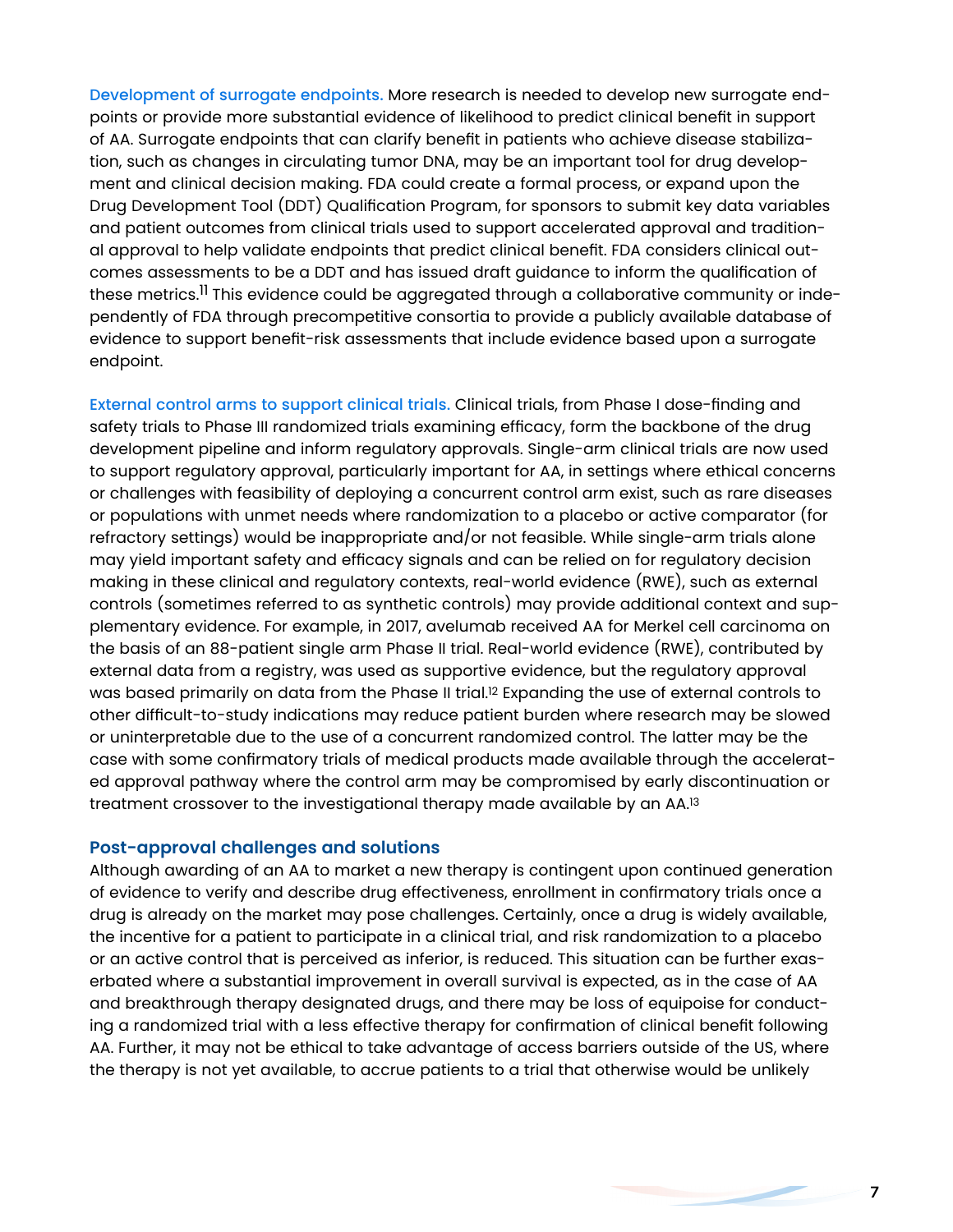Development of surrogate endpoints. More research is needed to develop new surrogate endpoints or provide more substantial evidence of likelihood to predict clinical benefit in support of AA. Surrogate endpoints that can clarify benefit in patients who achieve disease stabilization, such as changes in circulating tumor DNA, may be an important tool for drug development and clinical decision making. FDA could create a formal process, or expand upon the Drug Development Tool (DDT) Qualification Program, for sponsors to submit key data variables and patient outcomes from clinical trials used to support accelerated approval and traditional approval to help validate endpoints that predict clinical benefit. FDA considers clinical outcomes assessments to be a DDT and has issued draft guidance to inform the qualification of these metrics.<sup>11</sup> This evidence could be aggregated through a collaborative community or independently of FDA through precompetitive consortia to provide a publicly available database of evidence to support benefit-risk assessments that include evidence based upon a surrogate endpoint.

External control arms to support clinical trials. Clinical trials, from Phase I dose-finding and safety trials to Phase III randomized trials examining efficacy, form the backbone of the drug development pipeline and inform regulatory approvals. Single-arm clinical trials are now used to support regulatory approval, particularly important for AA, in settings where ethical concerns or challenges with feasibility of deploying a concurrent control arm exist, such as rare diseases or populations with unmet needs where randomization to a placebo or active comparator (for refractory settings) would be inappropriate and/or not feasible. While single-arm trials alone may yield important safety and efficacy signals and can be relied on for regulatory decision making in these clinical and regulatory contexts, real-world evidence (RWE), such as external controls (sometimes referred to as synthetic controls) may provide additional context and supplementary evidence. For example, in 2017, avelumab received AA for Merkel cell carcinoma on the basis of an 88-patient single arm Phase II trial. Real-world evidence (RWE), contributed by external data from a registry, was used as supportive evidence, but the regulatory approval was based primarily on data from the Phase II trial.12 Expanding the use of external controls to other difficult-to-study indications may reduce patient burden where research may be slowed or uninterpretable due to the use of a concurrent randomized control. The latter may be the case with some confirmatory trials of medical products made available through the accelerated approval pathway where the control arm may be compromised by early discontinuation or treatment crossover to the investigational therapy made available by an AA.13

#### **Post-approval challenges and solutions**

Although awarding of an AA to market a new therapy is contingent upon continued generation of evidence to verify and describe drug effectiveness, enrollment in confirmatory trials once a drug is already on the market may pose challenges. Certainly, once a drug is widely available, the incentive for a patient to participate in a clinical trial, and risk randomization to a placebo or an active control that is perceived as inferior, is reduced. This situation can be further exaserbated where a substantial improvement in overall survival is expected, as in the case of AA and breakthrough therapy designated drugs, and there may be loss of equipoise for conducting a randomized trial with a less effective therapy for confirmation of clinical benefit following AA. Further, it may not be ethical to take advantage of access barriers outside of the US, where the therapy is not yet available, to accrue patients to a trial that otherwise would be unlikely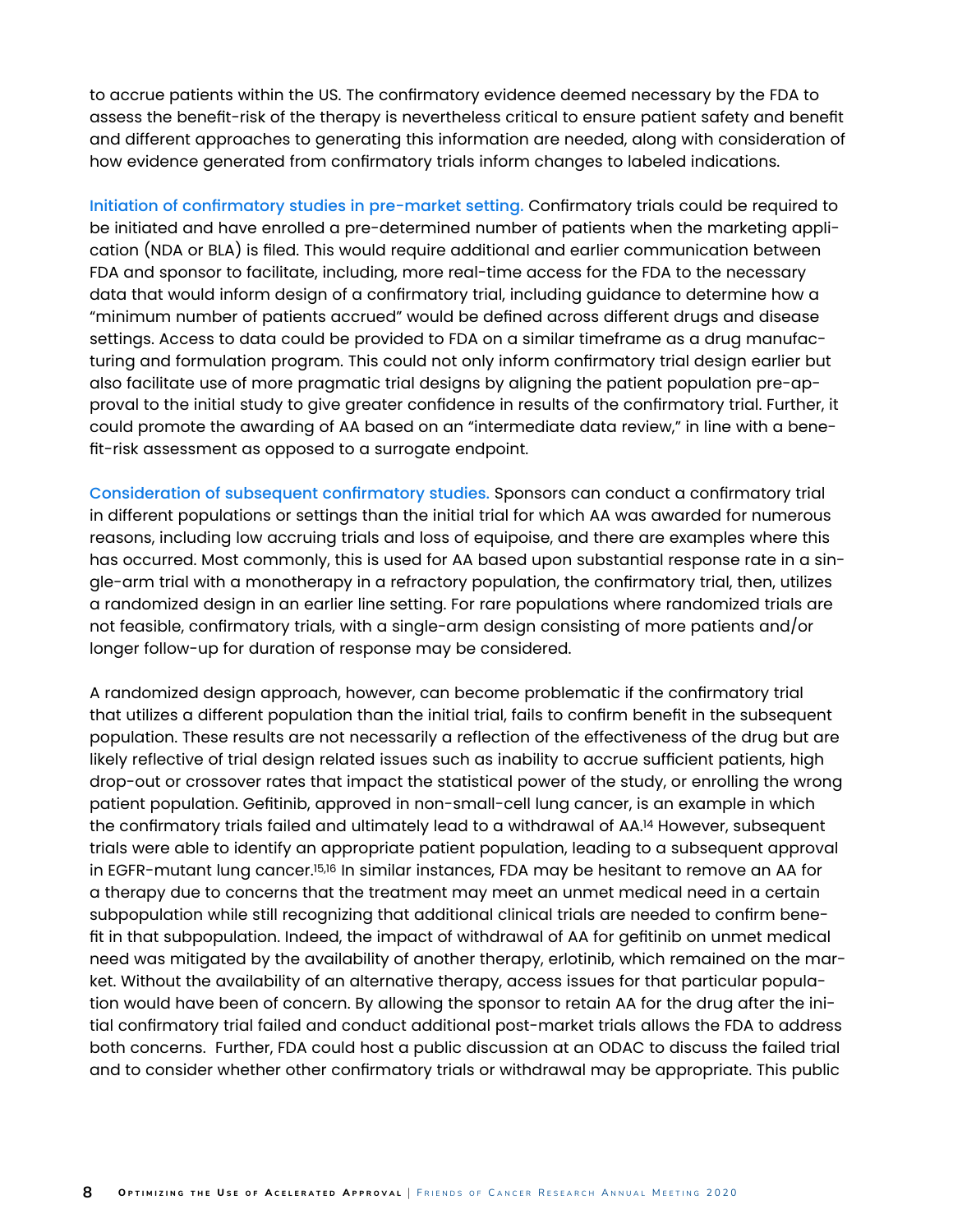to accrue patients within the US. The confirmatory evidence deemed necessary by the FDA to assess the benefit-risk of the therapy is nevertheless critical to ensure patient safety and benefit and different approaches to generating this information are needed, along with consideration of how evidence generated from confirmatory trials inform changes to labeled indications.

Initiation of confirmatory studies in pre-market setting. Confirmatory trials could be required to be initiated and have enrolled a pre-determined number of patients when the marketing application (NDA or BLA) is filed. This would require additional and earlier communication between FDA and sponsor to facilitate, including, more real-time access for the FDA to the necessary data that would inform design of a confirmatory trial, including guidance to determine how a "minimum number of patients accrued" would be defined across different drugs and disease settings. Access to data could be provided to FDA on a similar timeframe as a drug manufacturing and formulation program. This could not only inform confirmatory trial design earlier but also facilitate use of more pragmatic trial designs by aligning the patient population pre-approval to the initial study to give greater confidence in results of the confirmatory trial. Further, it could promote the awarding of AA based on an "intermediate data review," in line with a benefit-risk assessment as opposed to a surrogate endpoint.

Consideration of subsequent confirmatory studies. Sponsors can conduct a confirmatory trial in different populations or settings than the initial trial for which AA was awarded for numerous reasons, including low accruing trials and loss of equipoise, and there are examples where this has occurred. Most commonly, this is used for AA based upon substantial response rate in a single-arm trial with a monotherapy in a refractory population, the confirmatory trial, then, utilizes a randomized design in an earlier line setting. For rare populations where randomized trials are not feasible, confirmatory trials, with a single-arm design consisting of more patients and/or longer follow-up for duration of response may be considered.

A randomized design approach, however, can become problematic if the confirmatory trial that utilizes a different population than the initial trial, fails to confirm benefit in the subsequent population. These results are not necessarily a reflection of the effectiveness of the drug but are likely reflective of trial design related issues such as inability to accrue sufficient patients, high drop-out or crossover rates that impact the statistical power of the study, or enrolling the wrong patient population. Gefitinib, approved in non-small-cell lung cancer, is an example in which the confirmatory trials failed and ultimately lead to a withdrawal of AA.<sup>14</sup> However, subsequent trials were able to identify an appropriate patient population, leading to a subsequent approval in EGFR-mutant lung cancer.15,16 In similar instances, FDA may be hesitant to remove an AA for a therapy due to concerns that the treatment may meet an unmet medical need in a certain subpopulation while still recognizing that additional clinical trials are needed to confirm benefit in that subpopulation. Indeed, the impact of withdrawal of AA for gefitinib on unmet medical need was mitigated by the availability of another therapy, erlotinib, which remained on the market. Without the availability of an alternative therapy, access issues for that particular population would have been of concern. By allowing the sponsor to retain AA for the drug after the initial confirmatory trial failed and conduct additional post-market trials allows the FDA to address both concerns. Further, FDA could host a public discussion at an ODAC to discuss the failed trial and to consider whether other confirmatory trials or withdrawal may be appropriate. This public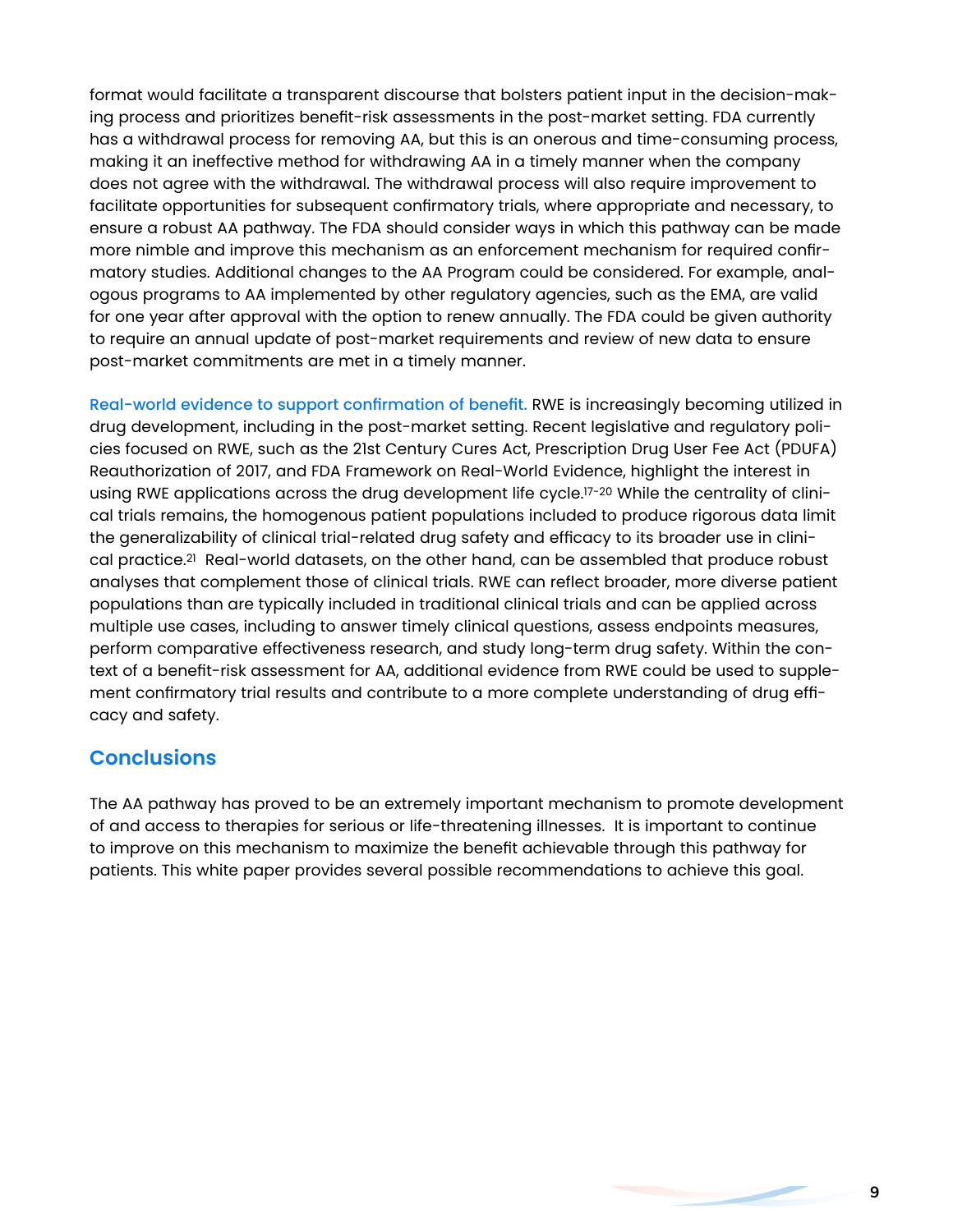format would facilitate a transparent discourse that bolsters patient input in the decision-making process and prioritizes benefit-risk assessments in the post-market setting. FDA currently has a withdrawal process for removing AA, but this is an onerous and time-consuming process, making it an ineffective method for withdrawing AA in a timely manner when the company does not agree with the withdrawal. The withdrawal process will also require improvement to facilitate opportunities for subsequent confirmatory trials, where appropriate and necessary, to ensure a robust AA pathway. The FDA should consider ways in which this pathway can be made more nimble and improve this mechanism as an enforcement mechanism for required confirmatory studies. Additional changes to the AA Program could be considered. For example, analogous programs to AA implemented by other regulatory agencies, such as the EMA, are valid for one year after approval with the option to renew annually. The FDA could be given authority to require an annual update of post-market requirements and review of new data to ensure post-market commitments are met in a timely manner.

Real-world evidence to support confirmation of benefit. RWE is increasingly becoming utilized in drug development, including in the post-market setting. Recent legislative and regulatory policies focused on RWE, such as the 21st Century Cures Act, Prescription Drug User Fee Act (PDUFA) Reauthorization of 2017, and FDA Framework on Real-World Evidence, highlight the interest in using RWE applications across the drug development life cycle.17-20 While the centrality of clinical trials remains, the homogenous patient populations included to produce rigorous data limit the generalizability of clinical trial-related drug safety and efficacy to its broader use in clinical practice.21 Real-world datasets, on the other hand, can be assembled that produce robust analyses that complement those of clinical trials. RWE can reflect broader, more diverse patient populations than are typically included in traditional clinical trials and can be applied across multiple use cases, including to answer timely clinical questions, assess endpoints measures, perform comparative effectiveness research, and study long-term drug safety. Within the context of a benefit-risk assessment for AA, additional evidence from RWE could be used to supplement confirmatory trial results and contribute to a more complete understanding of drug efficacy and safety.

# **Conclusions**

The AA pathway has proved to be an extremely important mechanism to promote development of and access to therapies for serious or life-threatening illnesses. It is important to continue to improve on this mechanism to maximize the benefit achievable through this pathway for patients. This white paper provides several possible recommendations to achieve this goal.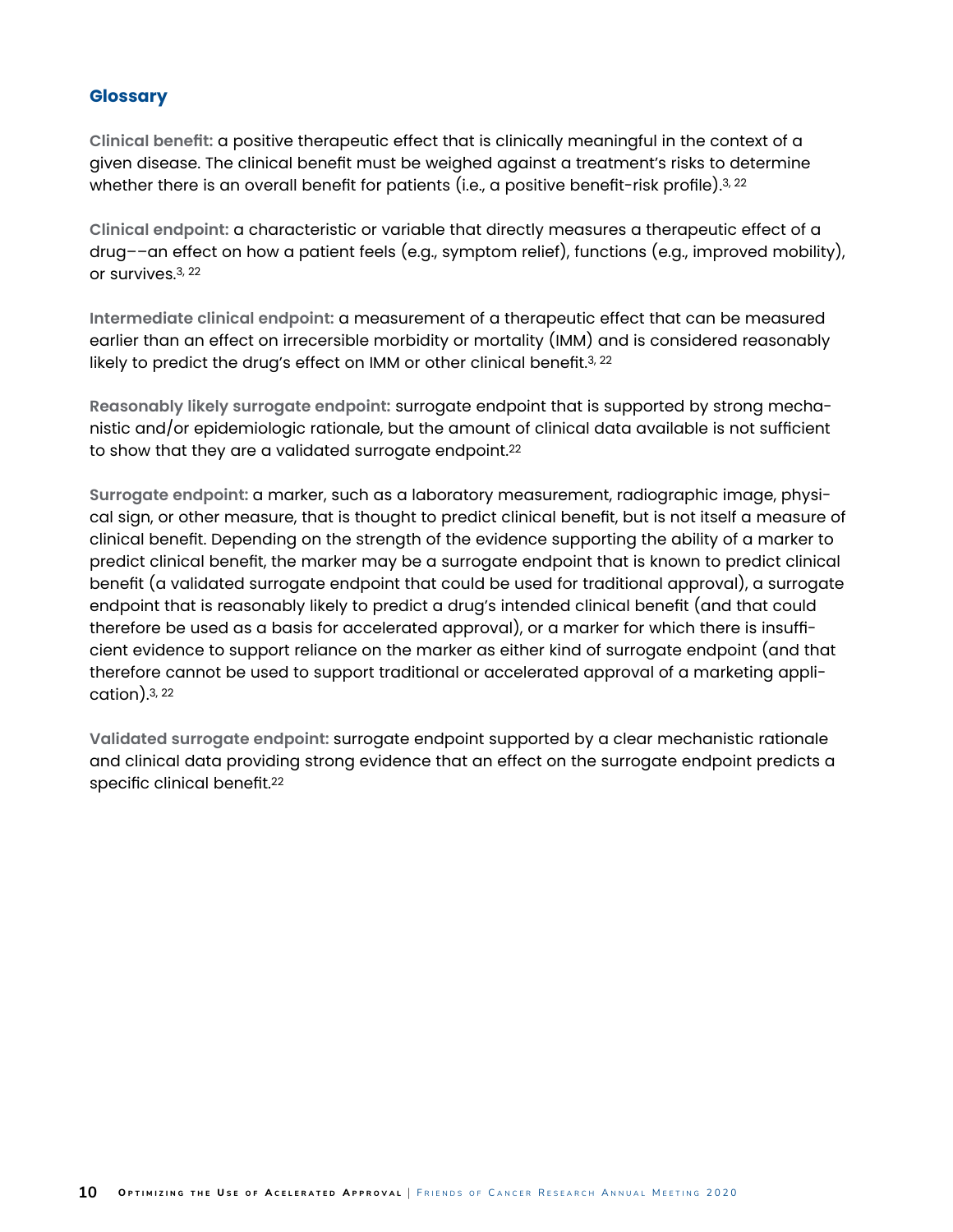#### **Glossary**

**Clinical benefit:** a positive therapeutic effect that is clinically meaningful in the context of a given disease. The clinical benefit must be weighed against a treatment's risks to determine whether there is an overall benefit for patients (i.e., a positive benefit-risk profile).<sup>3, 22</sup>

**Clinical endpoint:** a characteristic or variable that directly measures a therapeutic effect of a drug––an effect on how a patient feels (e.g., symptom relief), functions (e.g., improved mobility), or survives.3, 22

**Intermediate clinical endpoint:** a measurement of a therapeutic effect that can be measured earlier than an effect on irrecersible morbidity or mortality (IMM) and is considered reasonably likely to predict the drug's effect on IMM or other clinical benefit.<sup>3, 22</sup>

**Reasonably likely surrogate endpoint:** surrogate endpoint that is supported by strong mechanistic and/or epidemiologic rationale, but the amount of clinical data available is not sufficient to show that they are a validated surrogate endpoint.<sup>22</sup>

**Surrogate endpoint:** a marker, such as a laboratory measurement, radiographic image, physical sign, or other measure, that is thought to predict clinical benefit, but is not itself a measure of clinical benefit. Depending on the strength of the evidence supporting the ability of a marker to predict clinical benefit, the marker may be a surrogate endpoint that is known to predict clinical benefit (a validated surrogate endpoint that could be used for traditional approval), a surrogate endpoint that is reasonably likely to predict a drug's intended clinical benefit (and that could therefore be used as a basis for accelerated approval), or a marker for which there is insufficient evidence to support reliance on the marker as either kind of surrogate endpoint (and that therefore cannot be used to support traditional or accelerated approval of a marketing application).3, 22

**Validated surrogate endpoint:** surrogate endpoint supported by a clear mechanistic rationale and clinical data providing strong evidence that an effect on the surrogate endpoint predicts a specific clinical benefit.22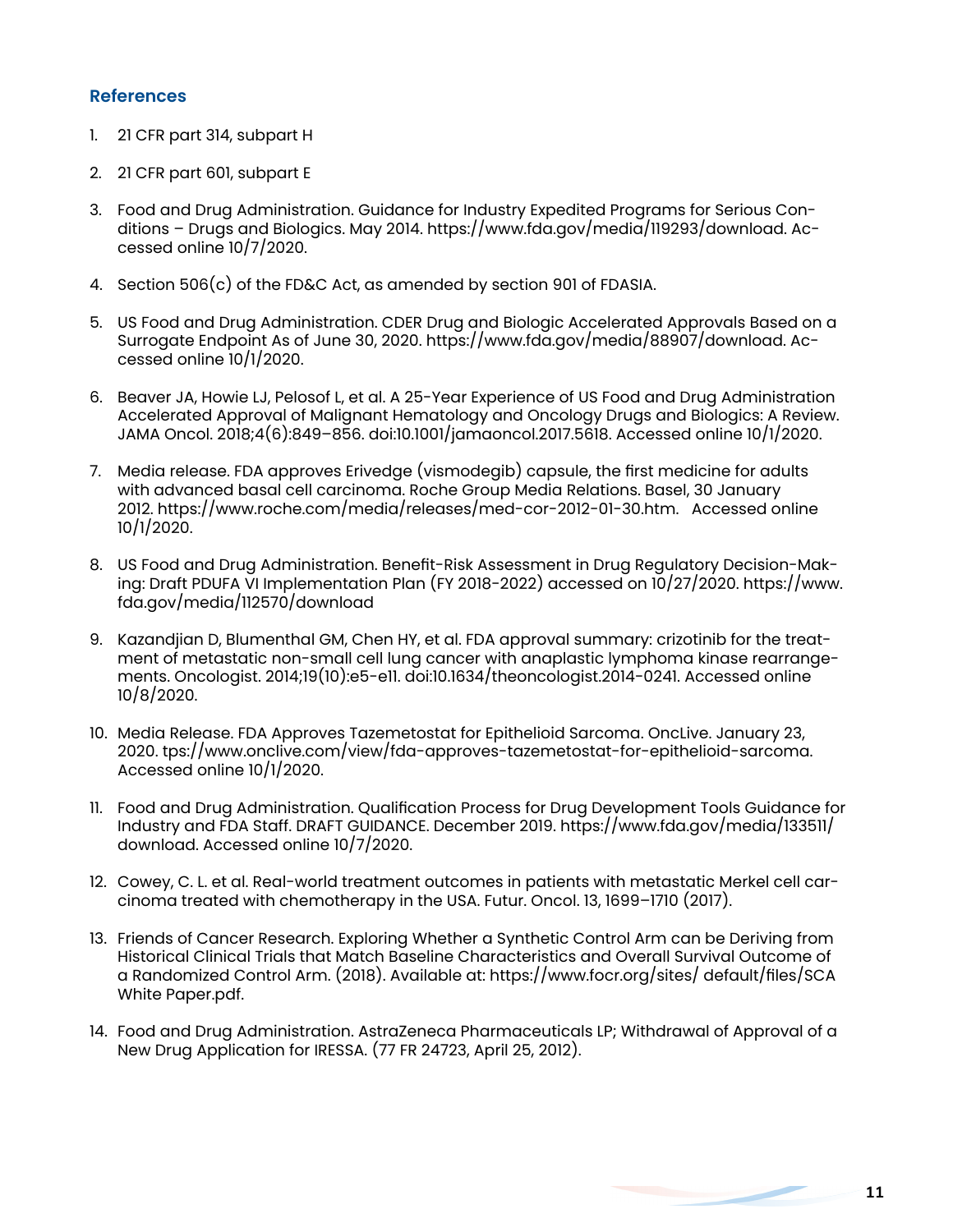#### **References**

- 1. 21 CFR part 314, subpart H
- 2. 21 CFR part 601, subpart E
- 3. Food and Drug Administration. Guidance for Industry Expedited Programs for Serious Conditions – Drugs and Biologics. May 2014. https://www.fda.gov/media/119293/download. Accessed online 10/7/2020.
- 4. Section 506(c) of the FD&C Act, as amended by section 901 of FDASIA.
- 5. US Food and Drug Administration. CDER Drug and Biologic Accelerated Approvals Based on a Surrogate Endpoint As of June 30, 2020. https://www.fda.gov/media/88907/download. Accessed online 10/1/2020.
- 6. Beaver JA, Howie LJ, Pelosof L, et al. A 25-Year Experience of US Food and Drug Administration Accelerated Approval of Malignant Hematology and Oncology Drugs and Biologics: A Review. JAMA Oncol. 2018;4(6):849–856. doi:10.1001/jamaoncol.2017.5618. Accessed online 10/1/2020.
- 7. Media release. FDA approves Erivedge (vismodegib) capsule, the first medicine for adults with advanced basal cell carcinoma. Roche Group Media Relations. Basel, 30 January 2012. https://www.roche.com/media/releases/med-cor-2012-01-30.htm. Accessed online 10/1/2020.
- 8. US Food and Drug Administration. Benefit-Risk Assessment in Drug Regulatory Decision-Making: Draft PDUFA VI Implementation Plan (FY 2018-2022) accessed on 10/27/2020. https://www. fda.gov/media/112570/download
- 9. Kazandjian D, Blumenthal GM, Chen HY, et al. FDA approval summary: crizotinib for the treatment of metastatic non-small cell lung cancer with anaplastic lymphoma kinase rearrangements. Oncologist. 2014;19(10):e5-e11. doi:10.1634/theoncologist.2014-0241. Accessed online 10/8/2020.
- 10. Media Release. FDA Approves Tazemetostat for Epithelioid Sarcoma. OncLive. January 23, 2020. tps://www.onclive.com/view/fda-approves-tazemetostat-for-epithelioid-sarcoma. Accessed online 10/1/2020.
- 11. Food and Drug Administration. Qualification Process for Drug Development Tools Guidance for Industry and FDA Staff. DRAFT GUIDANCE. December 2019. https://www.fda.gov/media/133511/ download. Accessed online 10/7/2020.
- 12. Cowey, C. L. et al. Real-world treatment outcomes in patients with metastatic Merkel cell carcinoma treated with chemotherapy in the USA. Futur. Oncol. 13, 1699–1710 (2017).
- 13. Friends of Cancer Research. Exploring Whether a Synthetic Control Arm can be Deriving from Historical Clinical Trials that Match Baseline Characteristics and Overall Survival Outcome of a Randomized Control Arm. (2018). Available at: https://www.focr.org/sites/ default/files/SCA White Paper.pdf.
- 14. Food and Drug Administration. AstraZeneca Pharmaceuticals LP; Withdrawal of Approval of a New Drug Application for IRESSA. (77 FR 24723, April 25, 2012).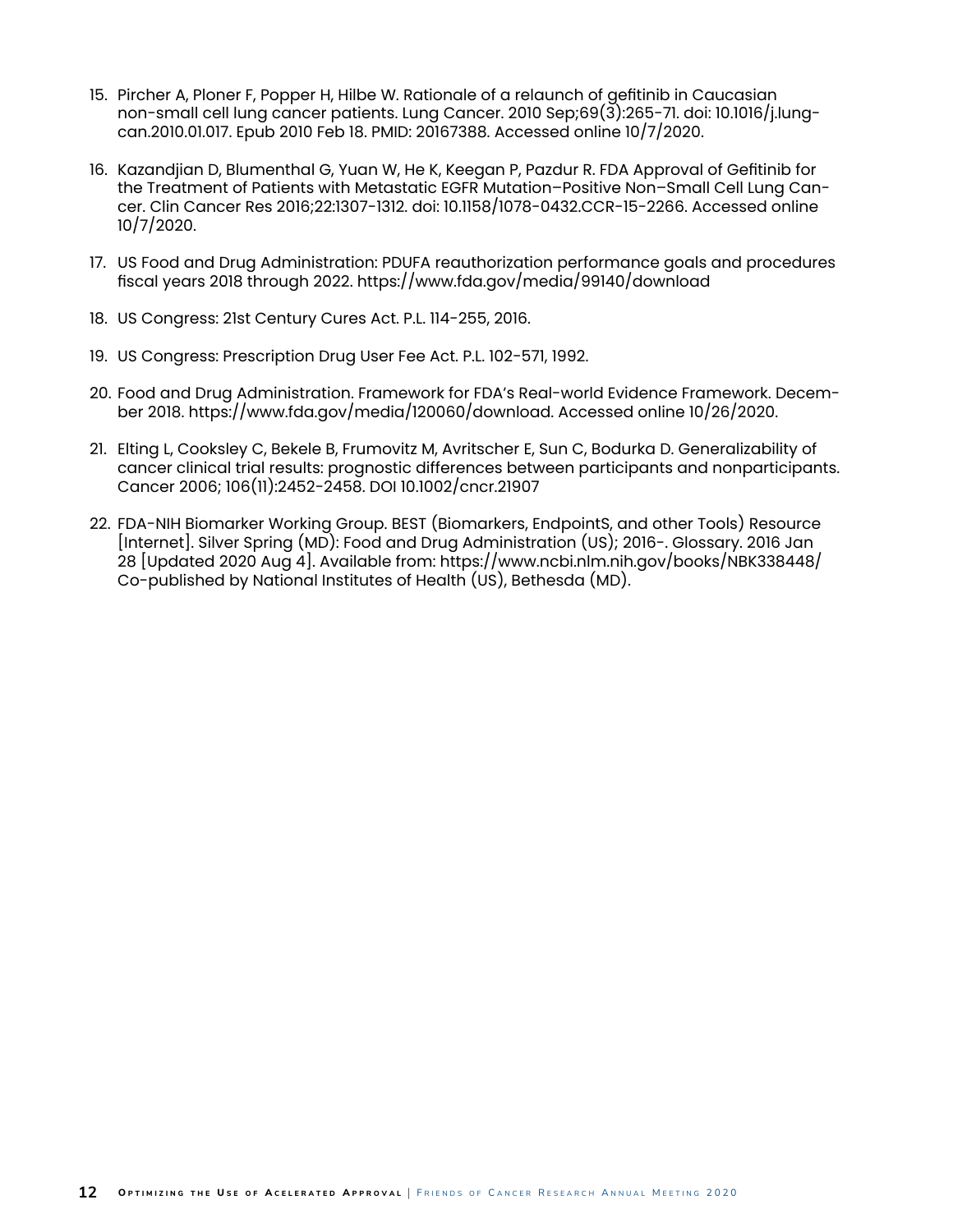- 15. Pircher A, Ploner F, Popper H, Hilbe W. Rationale of a relaunch of gefitinib in Caucasian non-small cell lung cancer patients. Lung Cancer. 2010 Sep;69(3):265-71. doi: 10.1016/j.lungcan.2010.01.017. Epub 2010 Feb 18. PMID: 20167388. Accessed online 10/7/2020.
- 16. Kazandjian D, Blumenthal G, Yuan W, He K, Keegan P, Pazdur R. FDA Approval of Gefitinib for the Treatment of Patients with Metastatic EGFR Mutation–Positive Non–Small Cell Lung Cancer. Clin Cancer Res 2016;22:1307-1312. doi: 10.1158/1078-0432.CCR-15-2266. Accessed online 10/7/2020.
- 17. US Food and Drug Administration: PDUFA reauthorization performance goals and procedures fiscal years 2018 through 2022. https://www.fda.gov/media/99140/download
- 18. US Congress: 21st Century Cures Act. P.L. 114-255, 2016.
- 19. US Congress: Prescription Drug User Fee Act. P.L. 102-571, 1992.
- 20. Food and Drug Administration. Framework for FDA's Real-world Evidence Framework. December 2018. https://www.fda.gov/media/120060/download. Accessed online 10/26/2020.
- 21. Elting L, Cooksley C, Bekele B, Frumovitz M, Avritscher E, Sun C, Bodurka D. Generalizability of cancer clinical trial results: prognostic differences between participants and nonparticipants. Cancer 2006; 106(11):2452-2458. DOI 10.1002/cncr.21907
- 22. FDA-NIH Biomarker Working Group. BEST (Biomarkers, EndpointS, and other Tools) Resource [Internet]. Silver Spring (MD): Food and Drug Administration (US); 2016-. Glossary. 2016 Jan 28 [Updated 2020 Aug 4]. Available from: https://www.ncbi.nlm.nih.gov/books/NBK338448/ Co-published by National Institutes of Health (US), Bethesda (MD).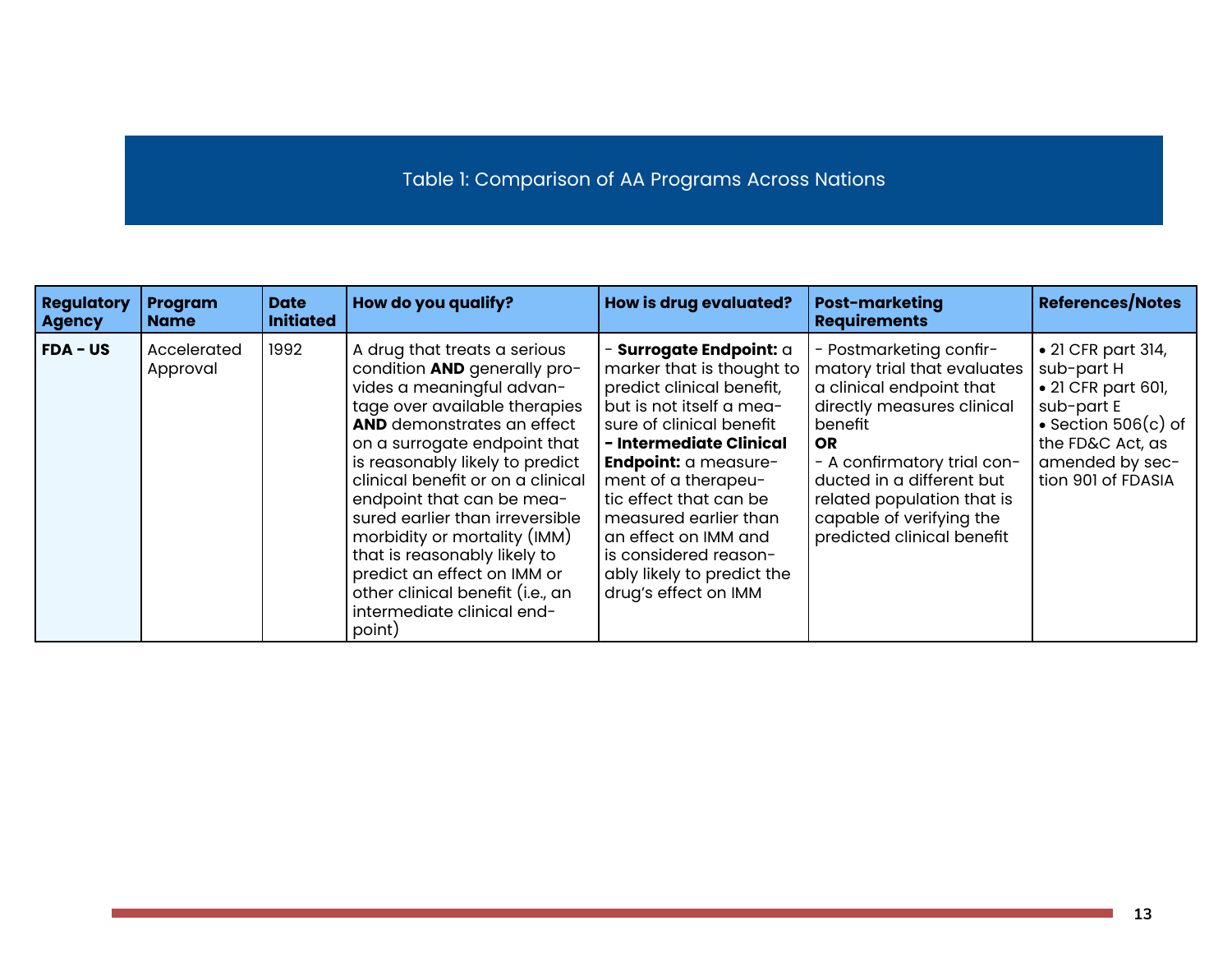# Table 1: Comparison of AA Programs Across Nations

| <b>Regulatory</b><br><b>Agency</b> | Program<br><b>Name</b>  | <b>Date</b><br><b>Initiated</b> | How do you qualify?                                                                                                                                                                                                                                                                                                                                                                                                                                                                                                | <b>How is drug evaluated?</b>                                                                                                                                                                                                                                                                                                                                                 | <b>Post-marketing</b><br><b>Requirements</b>                                                                                                                                                                                                                                                 | <b>References/Notes</b>                                                                                                                                                    |
|------------------------------------|-------------------------|---------------------------------|--------------------------------------------------------------------------------------------------------------------------------------------------------------------------------------------------------------------------------------------------------------------------------------------------------------------------------------------------------------------------------------------------------------------------------------------------------------------------------------------------------------------|-------------------------------------------------------------------------------------------------------------------------------------------------------------------------------------------------------------------------------------------------------------------------------------------------------------------------------------------------------------------------------|----------------------------------------------------------------------------------------------------------------------------------------------------------------------------------------------------------------------------------------------------------------------------------------------|----------------------------------------------------------------------------------------------------------------------------------------------------------------------------|
| $FDA - US$                         | Accelerated<br>Approval | 1992                            | A drug that treats a serious<br>condition AND generally pro-<br>vides a meaningful advan-<br>tage over available therapies<br><b>AND</b> demonstrates an effect<br>on a surrogate endpoint that<br>is reasonably likely to predict<br>clinical benefit or on a clinical<br>endpoint that can be mea-<br>sured earlier than irreversible<br>morbidity or mortality (IMM)<br>that is reasonably likely to<br>predict an effect on IMM or<br>other clinical benefit (i.e., an<br>intermediate clinical end-<br>point) | - Surrogate Endpoint: a<br>marker that is thought to<br>predict clinical benefit,<br>but is not itself a mea-<br>sure of clinical benefit<br>- Intermediate Clinical<br>Endpoint: a measure-<br>ment of a therapeu-<br>tic effect that can be<br>measured earlier than<br>an effect on IMM and<br>is considered reason-<br>ably likely to predict the<br>drug's effect on IMM | - Postmarketing confir-<br>matory trial that evaluates<br>a clinical endpoint that<br>directly measures clinical<br>benefit<br><b>OR</b><br>- A confirmatory trial con-<br>ducted in a different but<br>related population that is<br>capable of verifying the<br>predicted clinical benefit | $\bullet$ 21 CFR part 314,<br>sub-part H<br>$\bullet$ 21 CFR part 601,<br>sub-part E<br>• Section $506(c)$ of<br>the FD&C Act, as<br>amended by sec-<br>tion 901 of FDASIA |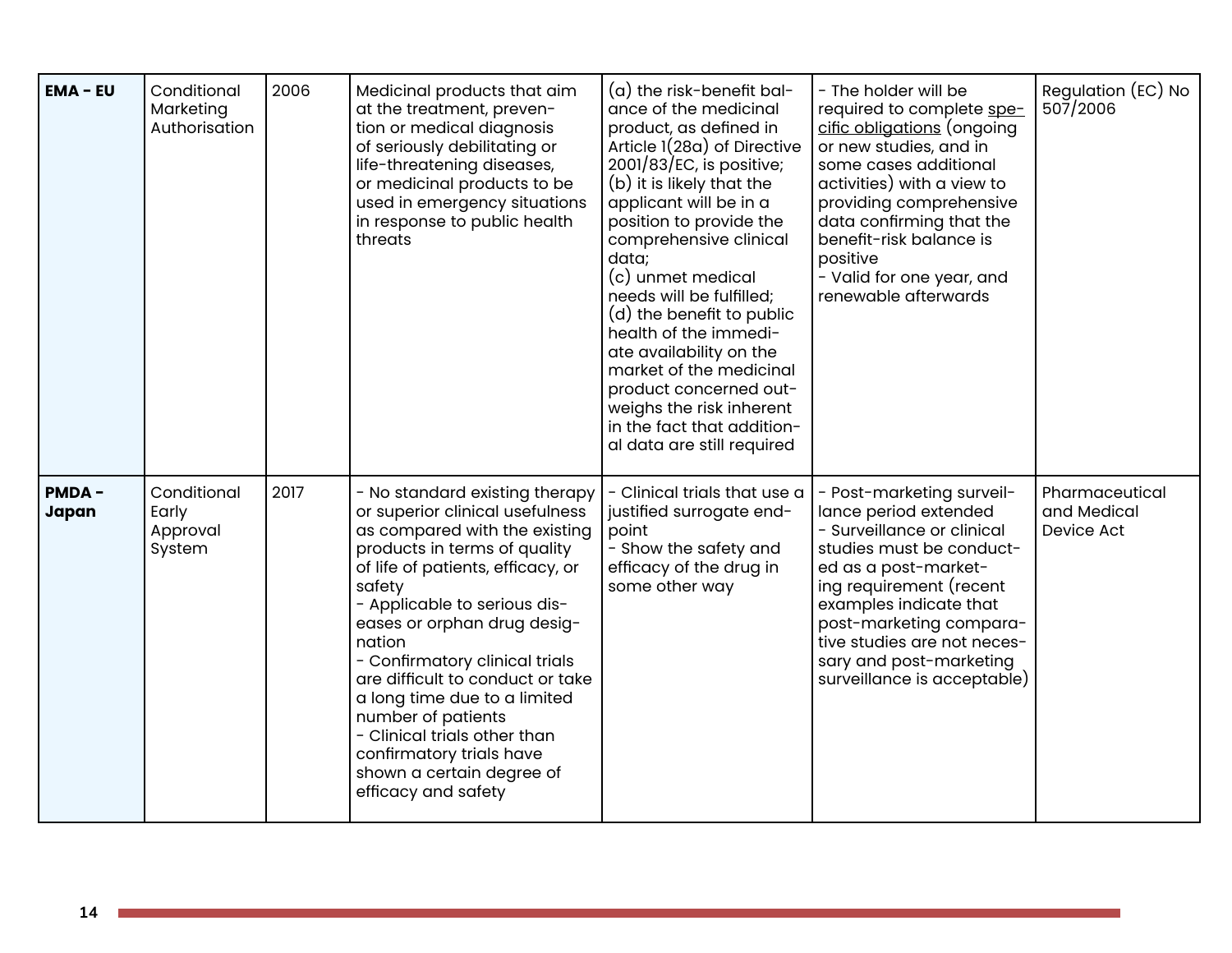| <b>EMA - EU</b>       | Conditional<br>Marketing<br>Authorisation  | 2006 | Medicinal products that aim<br>at the treatment, preven-<br>tion or medical diagnosis<br>of seriously debilitating or<br>life-threatening diseases,<br>or medicinal products to be<br>used in emergency situations<br>in response to public health<br>threats                                                                                                                                                                                                                                          | (a) the risk-benefit bal-<br>ance of the medicinal<br>product, as defined in<br>Article 1(28a) of Directive<br>$2001/83/EC$ , is positive;<br>(b) it is likely that the<br>applicant will be in a<br>position to provide the<br>comprehensive clinical<br>data;<br>(c) unmet medical<br>needs will be fulfilled;<br>(d) the benefit to public<br>health of the immedi-<br>ate availability on the<br>market of the medicinal<br>product concerned out-<br>weighs the risk inherent<br>in the fact that addition-<br>al data are still required | - The holder will be<br>required to complete spe-<br>cific obligations (ongoing<br>or new studies, and in<br>some cases additional<br>activities) with a view to<br>providing comprehensive<br>data confirming that the<br>benefit-risk balance is<br>positive<br>- Valid for one year, and<br>renewable afterwards | Regulation (EC) No<br>507/2006              |
|-----------------------|--------------------------------------------|------|--------------------------------------------------------------------------------------------------------------------------------------------------------------------------------------------------------------------------------------------------------------------------------------------------------------------------------------------------------------------------------------------------------------------------------------------------------------------------------------------------------|------------------------------------------------------------------------------------------------------------------------------------------------------------------------------------------------------------------------------------------------------------------------------------------------------------------------------------------------------------------------------------------------------------------------------------------------------------------------------------------------------------------------------------------------|---------------------------------------------------------------------------------------------------------------------------------------------------------------------------------------------------------------------------------------------------------------------------------------------------------------------|---------------------------------------------|
| <b>PMDA-</b><br>Japan | Conditional<br>Early<br>Approval<br>System | 2017 | - No standard existing therapy<br>or superior clinical usefulness<br>as compared with the existing<br>products in terms of quality<br>of life of patients, efficacy, or<br>safety<br>- Applicable to serious dis-<br>eases or orphan drug desig-<br>nation<br>- Confirmatory clinical trials<br>are difficult to conduct or take<br>a long time due to a limited<br>number of patients<br>- Clinical trials other than<br>confirmatory trials have<br>shown a certain degree of<br>efficacy and safety | - Clinical trials that use a<br>justified surrogate end-<br>point<br>- Show the safety and<br>efficacy of the drug in<br>some other way                                                                                                                                                                                                                                                                                                                                                                                                        | - Post-marketing surveil-<br>lance period extended<br>- Surveillance or clinical<br>studies must be conduct-<br>ed as a post-market-<br>ing requirement (recent<br>examples indicate that<br>post-marketing compara-<br>tive studies are not neces-<br>sary and post-marketing<br>surveillance is acceptable)       | Pharmaceutical<br>and Medical<br>Device Act |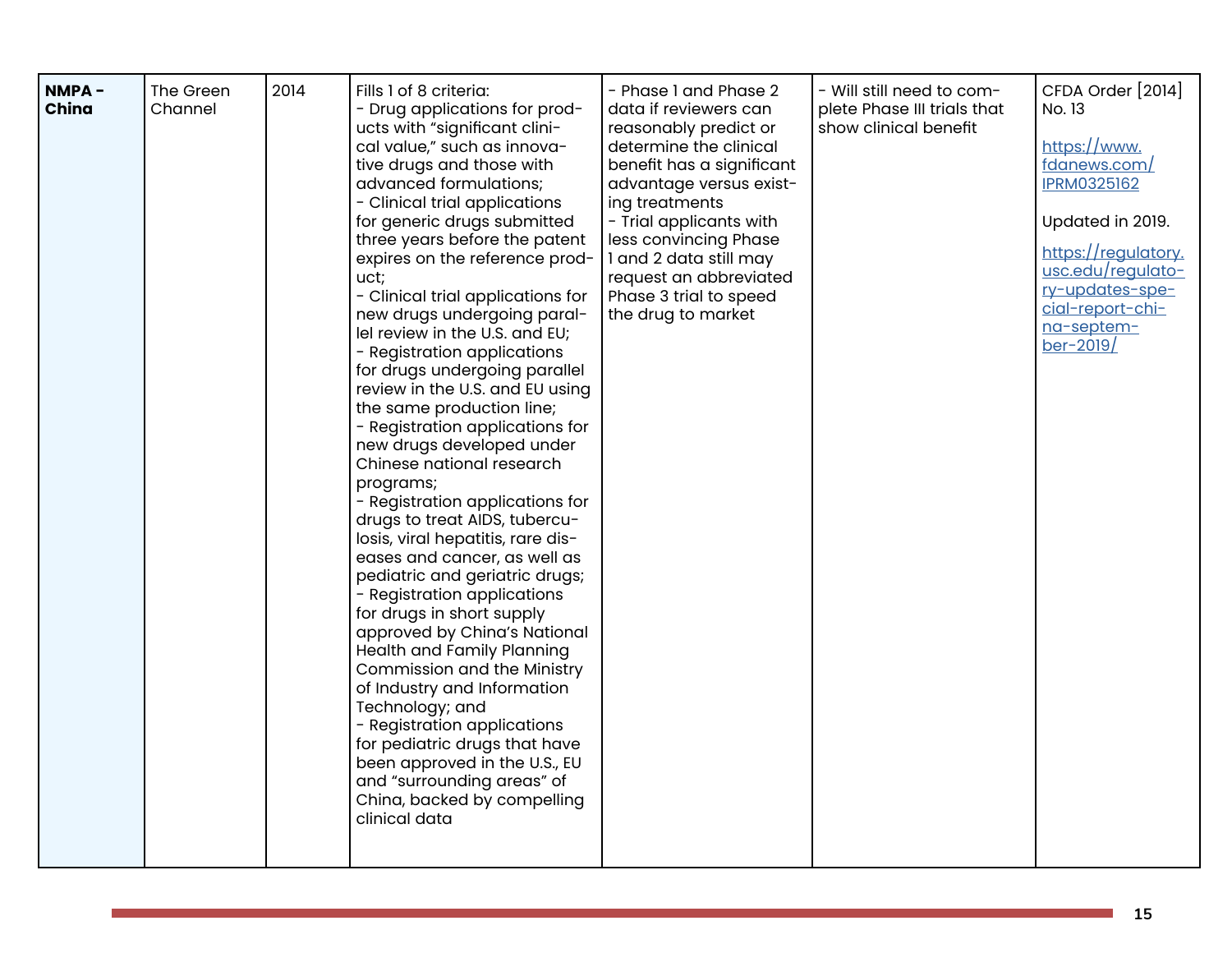| NMPA-<br>China | The Green<br>Channel | 2014 | Fills 1 of 8 criteria:<br>- Drug applications for prod-<br>ucts with "significant clini-<br>cal value," such as innova-<br>tive drugs and those with<br>advanced formulations;<br>- Clinical trial applications<br>for generic drugs submitted<br>three years before the patent<br>expires on the reference prod-                                                                                                                                                                                                                                                                                                                                                                                                                                                                                                                                                                                                         | - Phase 1 and Phase 2<br>data if reviewers can<br>reasonably predict or<br>determine the clinical<br>benefit has a significant<br>advantage versus exist-<br>ing treatments<br>- Trial applicants with<br>less convincing Phase<br>I and 2 data still may | - Will still need to com-<br>plete Phase III trials that<br>show clinical benefit | CFDA Order [2014]<br>No. 13<br>https://www.<br>fdanews.com/<br><b>IPRM0325162</b><br>Updated in 2019.<br>https://regulatory. |
|----------------|----------------------|------|---------------------------------------------------------------------------------------------------------------------------------------------------------------------------------------------------------------------------------------------------------------------------------------------------------------------------------------------------------------------------------------------------------------------------------------------------------------------------------------------------------------------------------------------------------------------------------------------------------------------------------------------------------------------------------------------------------------------------------------------------------------------------------------------------------------------------------------------------------------------------------------------------------------------------|-----------------------------------------------------------------------------------------------------------------------------------------------------------------------------------------------------------------------------------------------------------|-----------------------------------------------------------------------------------|------------------------------------------------------------------------------------------------------------------------------|
|                |                      |      | uct;<br>- Clinical trial applications for<br>new drugs undergoing paral-<br>lel review in the U.S. and EU;<br>- Registration applications<br>for drugs undergoing parallel<br>review in the U.S. and EU using<br>the same production line;<br>- Registration applications for<br>new drugs developed under<br>Chinese national research<br>programs;<br>- Registration applications for<br>drugs to treat AIDS, tubercu-<br>losis, viral hepatitis, rare dis-<br>eases and cancer, as well as<br>pediatric and geriatric drugs;<br>- Registration applications<br>for drugs in short supply<br>approved by China's National<br>Health and Family Planning<br>Commission and the Ministry<br>of Industry and Information<br>Technology; and<br>- Registration applications<br>for pediatric drugs that have<br>been approved in the U.S., EU<br>and "surrounding areas" of<br>China, backed by compelling<br>clinical data | request an abbreviated<br>Phase 3 trial to speed<br>the drug to market                                                                                                                                                                                    |                                                                                   | usc.edu/requlato-<br>ry-updates-spe-<br>cial-report-chi-<br>na-septem-<br>$ber-2019/$                                        |

 $\mathcal{L}(\mathcal{L}(\mathcal{L}))$  and  $\mathcal{L}(\mathcal{L}(\mathcal{L}))$  . The contribution of  $\mathcal{L}(\mathcal{L})$